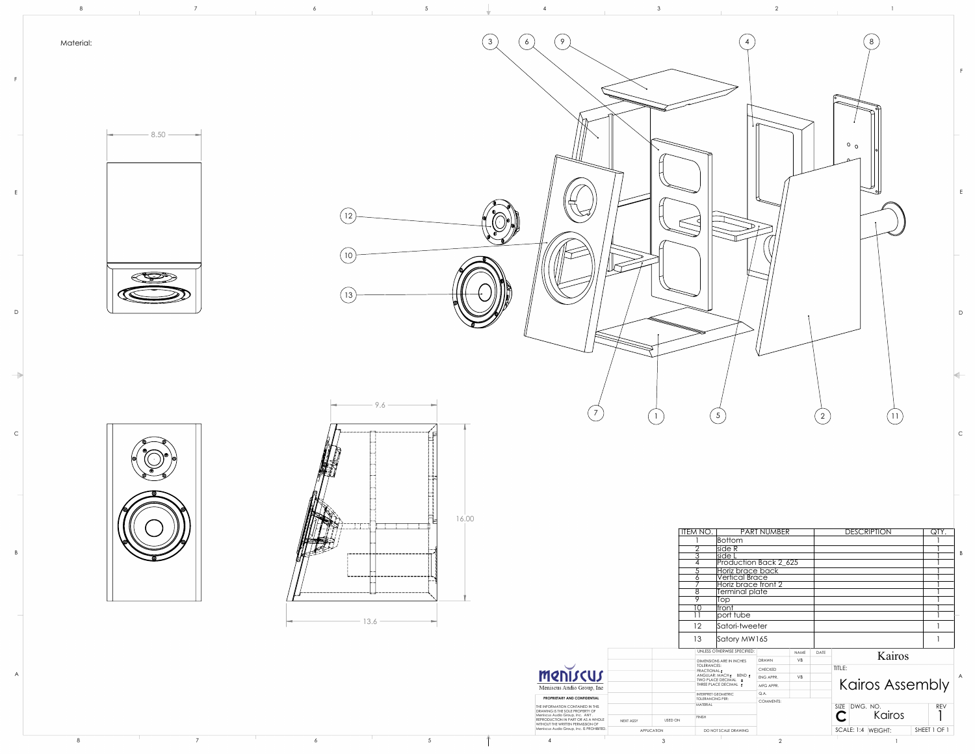

8 and  $\begin{array}{ccc} 7 & 6 & 5 & \begin{array}{ccc} 4 & 3 & 2 & \end{array} \end{array}$ Material:F  $-8.50-$ E  $\left(12\right)$  $10$  $\left($  13 D 9.6 C  $^{\prime}$  c H-16.00  $\triangleleft$ UT  $-13.6-$ 

A

B

**PROPRIETARY AND CONFIDENTIAL** THE INFORMATION CONTAINED IN THIS<br>DRAWING IS THE SOLE PROPERTY OF<br>Meniscus Audio Group, Inc. ANY .<br>REPRODUCTION IN PART OR AS A WHOLE<br>WITHOUT THE WRITTEN PERMISSION OF<br>Meniscus Audio Group, Inc. IS PROHIBITED.

NEXT ASSY

|                    |                |                       | ITEM NO.                                                                         |                                                      | <b>PART NUMBER</b> |             |                                     | <b>DESCRIPTION</b>     | $\overline{\text{QTY}}$ . |
|--------------------|----------------|-----------------------|----------------------------------------------------------------------------------|------------------------------------------------------|--------------------|-------------|-------------------------------------|------------------------|---------------------------|
|                    |                |                       |                                                                                  | <b>Bottom</b>                                        |                    |             |                                     |                        |                           |
|                    |                |                       |                                                                                  | side R                                               |                    |             |                                     |                        |                           |
|                    |                |                       | 3                                                                                | side L                                               |                    |             |                                     |                        | B                         |
|                    |                |                       | 4                                                                                | Production Back 2_625                                |                    |             |                                     |                        |                           |
|                    |                |                       | 5                                                                                | Horiz brace back                                     |                    |             |                                     |                        |                           |
|                    |                |                       | 6                                                                                | Vertical Brace                                       |                    |             |                                     |                        |                           |
|                    |                |                       |                                                                                  | Horiz brace front 2                                  |                    |             |                                     |                        |                           |
|                    |                |                       | $\overline{8}$                                                                   | Terminal plate                                       |                    |             |                                     |                        |                           |
|                    |                |                       | 9                                                                                | Top                                                  |                    |             |                                     |                        |                           |
|                    |                |                       | 10                                                                               | front                                                |                    |             |                                     |                        |                           |
|                    |                |                       | 11                                                                               | port tube                                            |                    |             |                                     |                        |                           |
|                    |                |                       | 12                                                                               | Satori-tweeter                                       |                    |             |                                     |                        |                           |
|                    |                |                       | 13                                                                               | Satory MW165                                         |                    |             |                                     |                        |                           |
|                    |                |                       |                                                                                  | UNLESS OTHERWISE SPECIFIED:                          |                    | <b>NAME</b> | DATE                                | Kairos                 |                           |
|                    |                |                       | <b>DIMENSIONS ARE IN INCHES</b><br><b>TOLERANCES:</b><br>FRACTIONAL <sup>+</sup> |                                                      | <b>DRAWN</b>       | <b>VB</b>   |                                     |                        |                           |
|                    |                |                       |                                                                                  |                                                      | CHECKED            |             |                                     | TITLE:                 |                           |
|                    |                |                       |                                                                                  | ANGULAR: MACH ± BEND ±<br><b>TWO PLACE DECIMAL +</b> | ENG APPR.          | <b>VB</b>   |                                     |                        | $\overline{A}$            |
|                    |                | THREE PLACE DECIMAL + |                                                                                  |                                                      | MFG APPR.          |             |                                     | <b>Kairos Assembly</b> |                           |
|                    |                |                       | <b>INTERPRET GEOMETRIC</b>                                                       |                                                      | Q.A.               |             |                                     |                        |                           |
|                    |                |                       | <b>TOLERANCING PER:</b><br>MATERIAL                                              |                                                      | COMMENTS:          |             |                                     |                        |                           |
|                    |                |                       |                                                                                  |                                                      |                    |             |                                     | DWG. NO.<br>SIZE       | <b>REV</b>                |
|                    | <b>USED ON</b> |                       | <b>FINISH</b>                                                                    |                                                      |                    |             |                                     | Kairos                 |                           |
| <b>APPLICATION</b> |                | DO NOT SCALE DRAWING  |                                                                                  |                                                      |                    |             | SCALE: 1:4  WEIGHT:<br>SHEET 1 OF 1 |                        |                           |

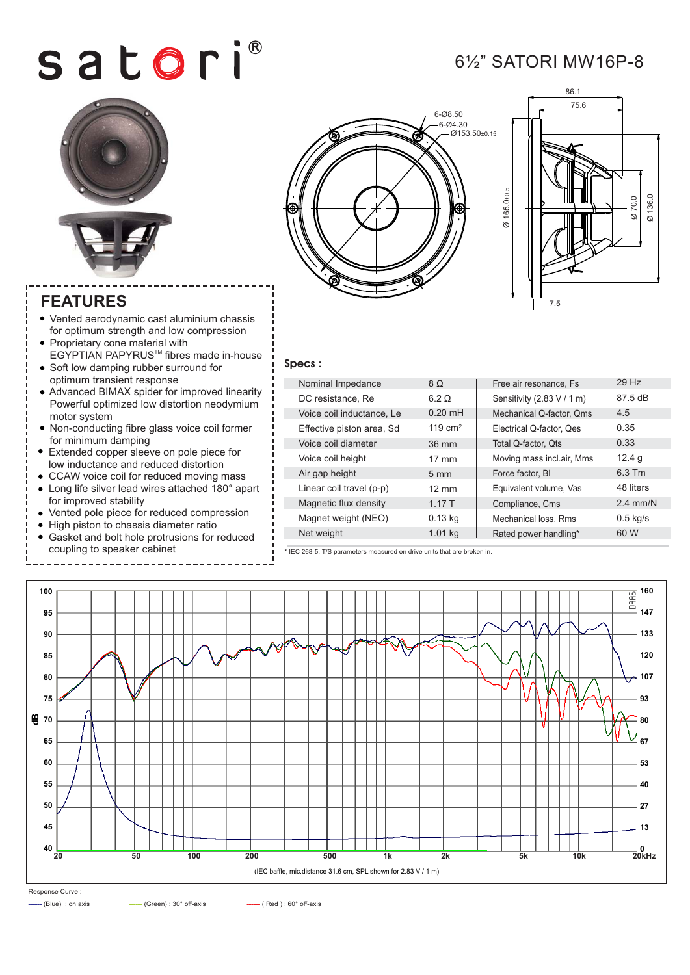# satori®

## 6½" SATORI MW16P-8



### **FEATURES**

- Vented aerodynamic cast aluminium chassis for optimum strength and low compression
- Proprietary cone material with EGYPTIAN PAPYRUS<sup>™</sup> fibres made in-house
- Soft low damping rubber surround for optimum transient response
- Advanced BIMAX spider for improved linearity Powerful optimized low distortion neodymium motor system
- Non-conducting fibre glass voice coil former for minimum damping
- $\bullet$  Extended copper sleeve on pole piece for low inductance and reduced distortion
- CCAW voice coil for reduced moving mass
- Long life silver lead wires attached 180° apart for improved stability
- Vented pole piece for reduced compression
- High piston to chassis diameter ratio Gasket and bolt hole protrusions for reduced coupling to speaker cabinet





#### Specs :

|  | Nominal Impedance         | $8\Omega$       | Free air resonance, Fs       | 29 Hz             |
|--|---------------------------|-----------------|------------------------------|-------------------|
|  | DC resistance. Re         | $6.2 \Omega$    | Sensitivity $(2.83 V / 1 m)$ | 87.5 dB           |
|  | Voice coil inductance, Le | $0.20$ mH       | Mechanical Q-factor, Qms     | 4.5               |
|  | Effective piston area, Sd | 119 $cm2$       | Electrical Q-factor, Qes     | 0.35              |
|  | Voice coil diameter       | 36 mm           | <b>Total Q-factor, Qts</b>   | 0.33              |
|  | Voice coil height         | $17 \text{ mm}$ | Moving mass incl.air, Mms    | 12.4 <sub>q</sub> |
|  | Air gap height            | $5 \text{ mm}$  | Force factor. BI             | 6.3 Tm            |
|  | Linear coil travel (p-p)  | $12 \text{ mm}$ | Equivalent volume, Vas       | 48 liters         |
|  | Magnetic flux density     | 1.17T           | Compliance, Cms              | $2.4$ mm/N        |
|  | Magnet weight (NEO)       | $0.13$ kg       | Mechanical loss, Rms         | $0.5$ kg/s        |
|  | Net weight                | $1.01$ kg       | Rated power handling*        | 60 W              |
|  |                           |                 |                              |                   |

\* IEC 268-5, T/S parameters measured on drive units that are broken in.



Response Curve :

 $-$  (Blue) : on axis  $-$  (Green) : 30° off-axis  $-$  (Red ) : 60° off-axis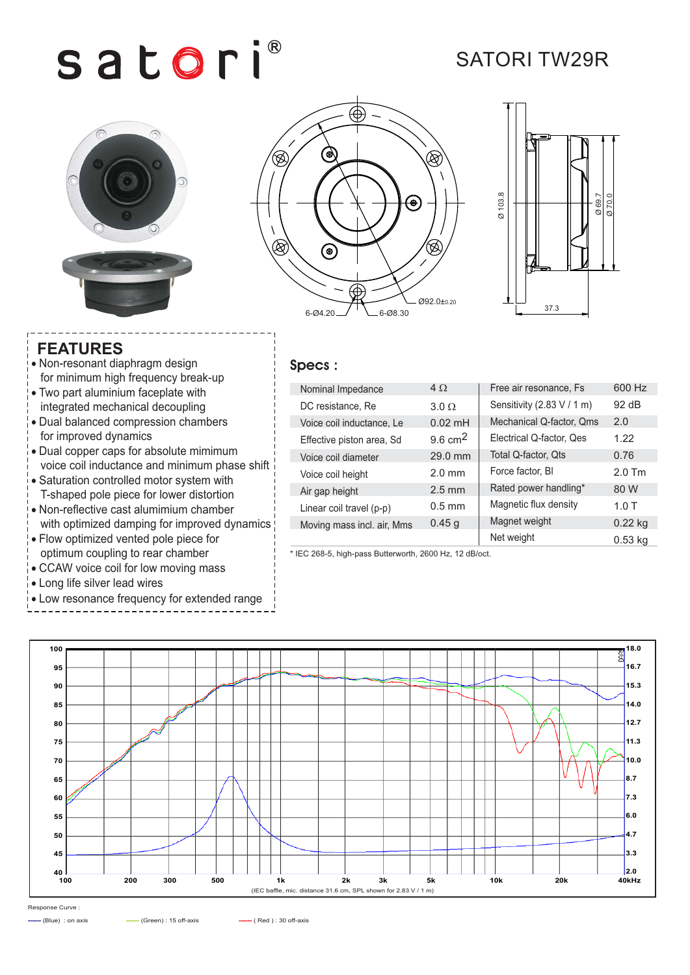# satori®

## SATORI TW29R







### **FEATURES**

- · Non-resonant diaphragm design for minimum high frequency break-up
- · Two part aluminium faceplate with integrated mechanical decoupling
- · Dual balanced compression chambers for improved dynamics
- · Dual copper caps for absolute mimimum voice coil inductance and minimum phase shift
- · Saturation controlled motor system with T-shaped pole piece for lower distortion
- · Non-reflective cast alumimium chamber with optimized damping for improved dynamics
- · Flow optimized vented pole piece for optimum coupling to rear chamber
- · CCAW voice coil for low moving mass
- · Long life silver lead wires
- · Low resonance frequency for extended range

#### Specs :

| Nominal Impedance          | $4\Omega$          | Free air resonance, Fs     | 600 Hz    |
|----------------------------|--------------------|----------------------------|-----------|
| DC resistance, Re          | $3.0 \Omega$       | Sensitivity (2.83 V / 1 m) | 92 dB     |
| Voice coil inductance, Le  | $0.02$ mH          | Mechanical Q-factor, Qms   | 2.0       |
| Effective piston area, Sd  | $9.6 \text{ cm}^2$ | Electrical Q-factor, Qes   | 1.22      |
| Voice coil diameter        | 29.0 mm            | Total Q-factor, Qts        | 0.76      |
| Voice coil height          | $2.0$ mm           | Force factor, BI           | $2.0$ Tm  |
| Air gap height             | $2.5 \text{ mm}$   | Rated power handling*      | 80 W      |
| Linear coil travel (p-p)   | $0.5$ mm           | Magnetic flux density      | $1.0$ T   |
| Moving mass incl. air, Mms | 0.45q              | Magnet weight              | $0.22$ kg |
|                            |                    | Net weight                 | $0.53$ kg |

\* IEC 268-5, high-pass Butterworth, 2600 Hz, 12 dB/oct.



Response Curve :

------ (Blue) : on axis (Green) : 15 off-axis ( Red ) : 30 ------ ------ off-axis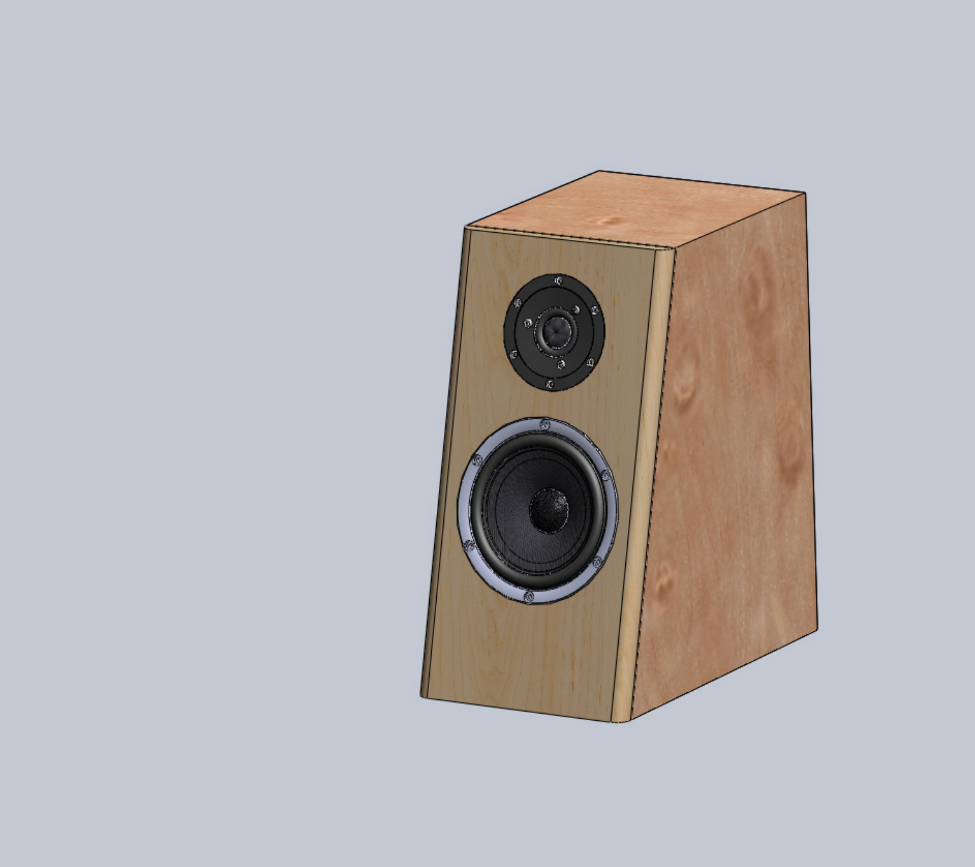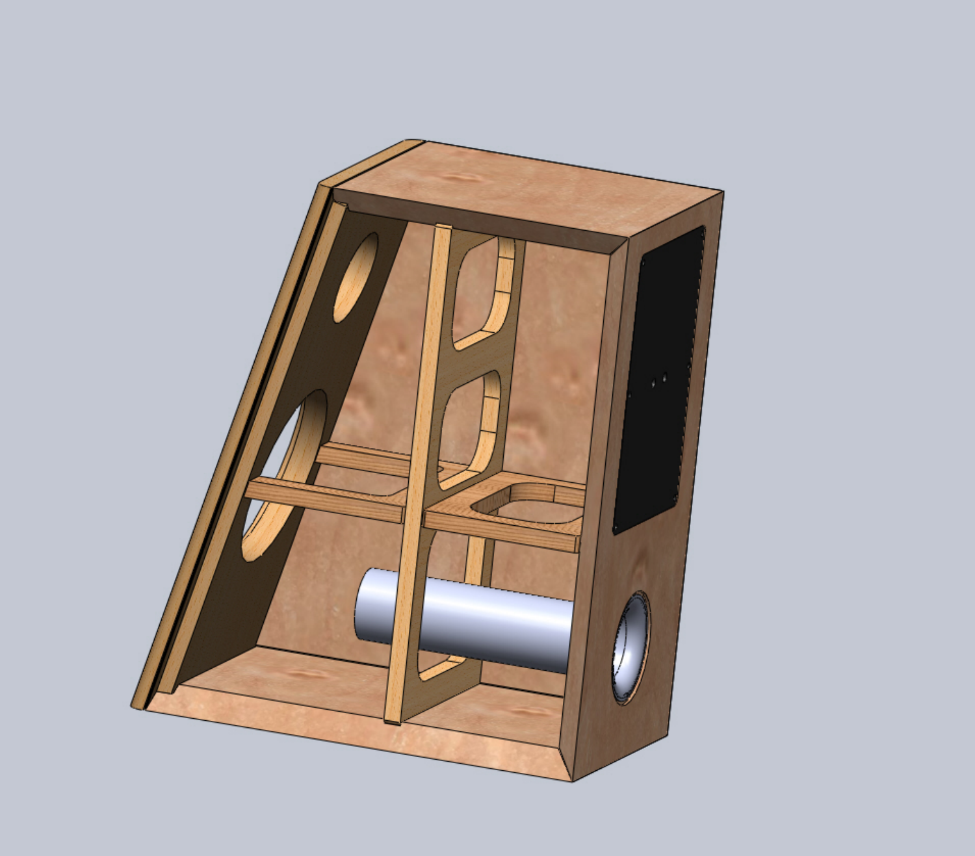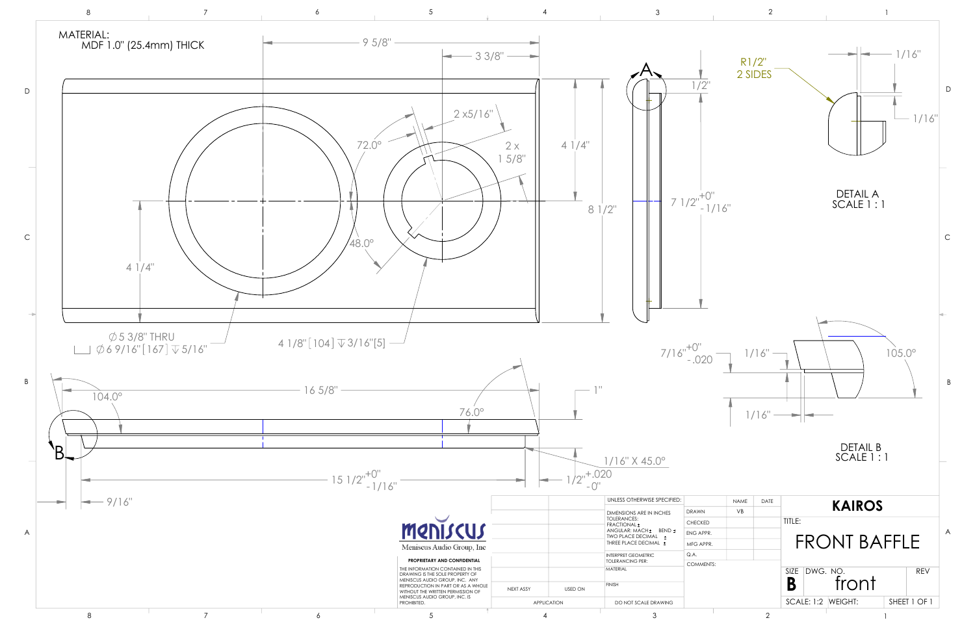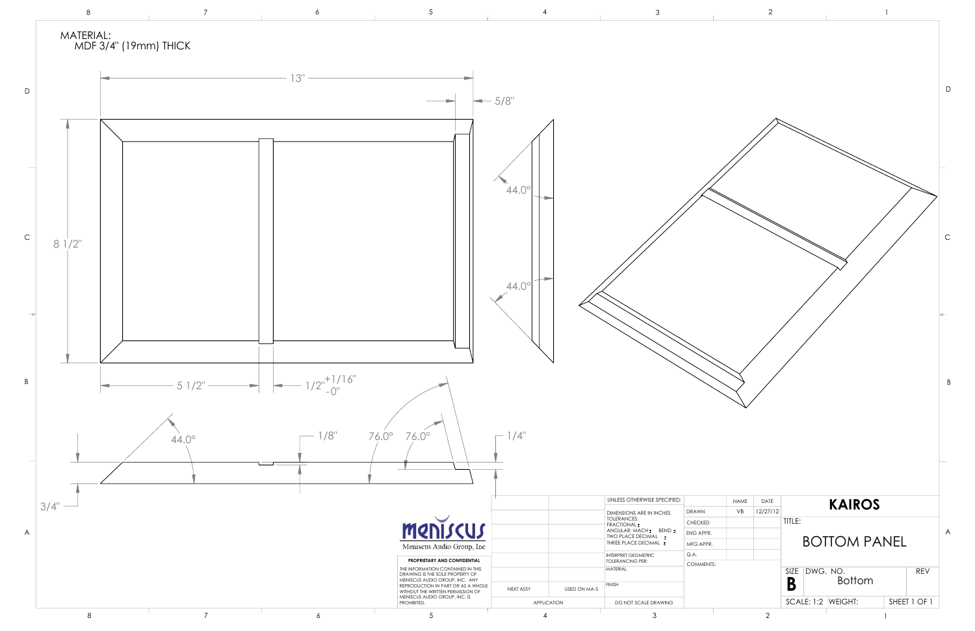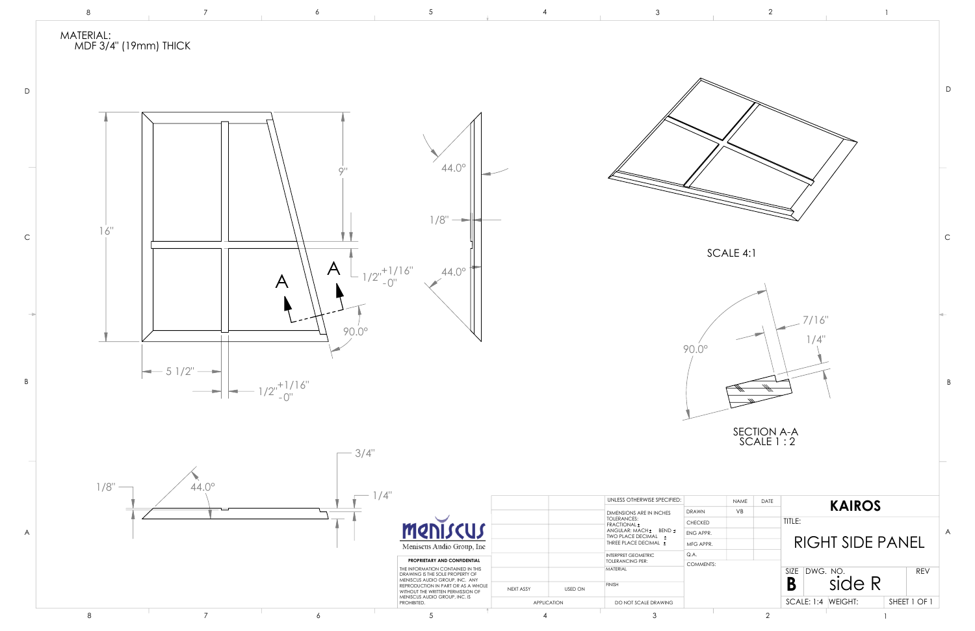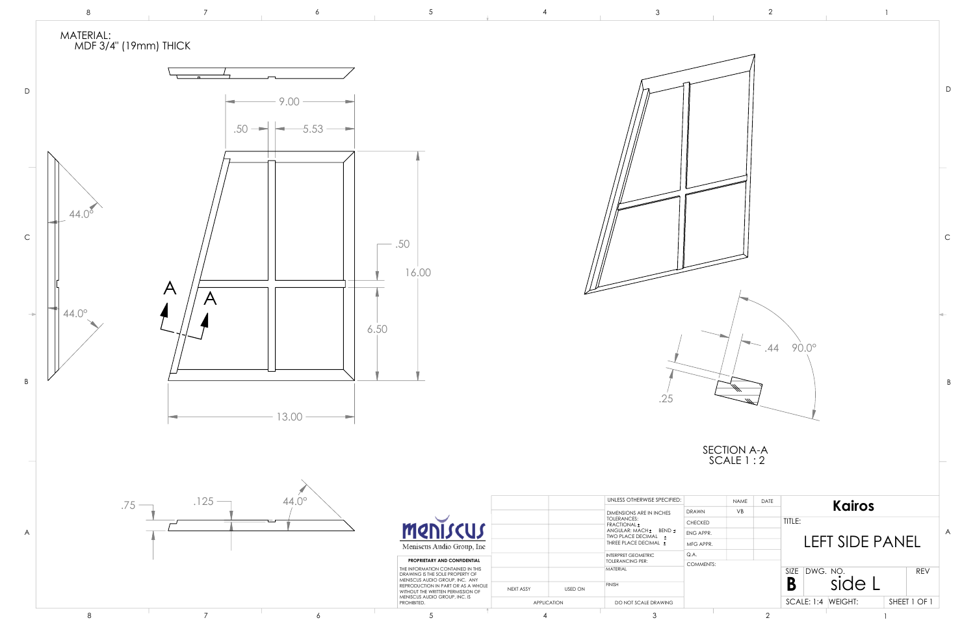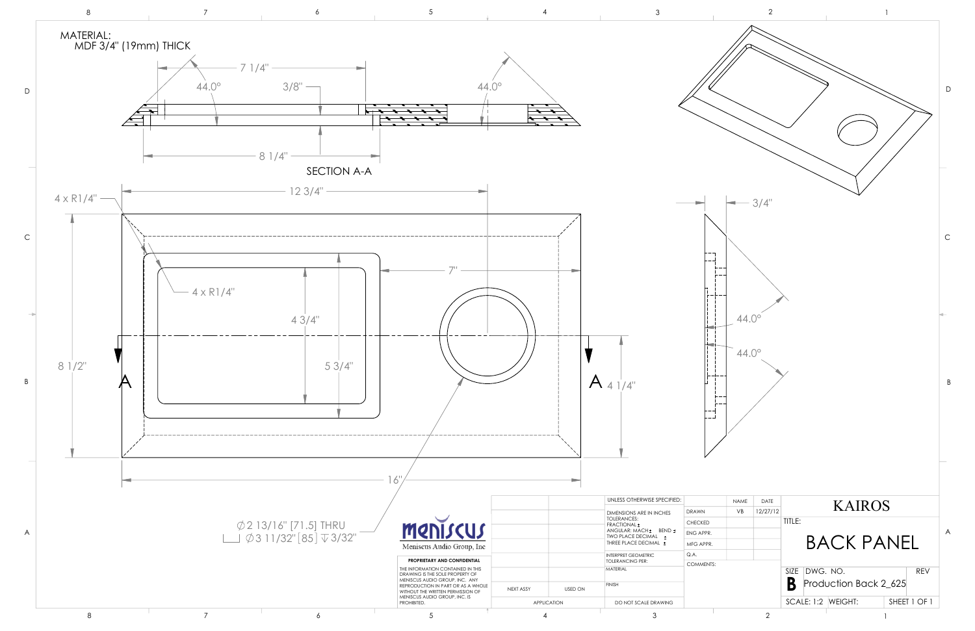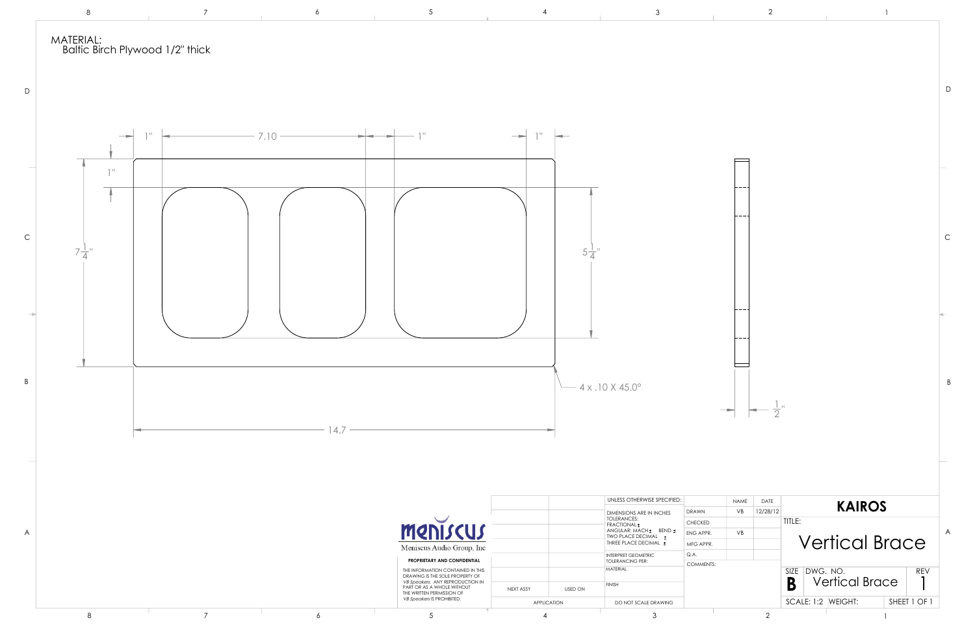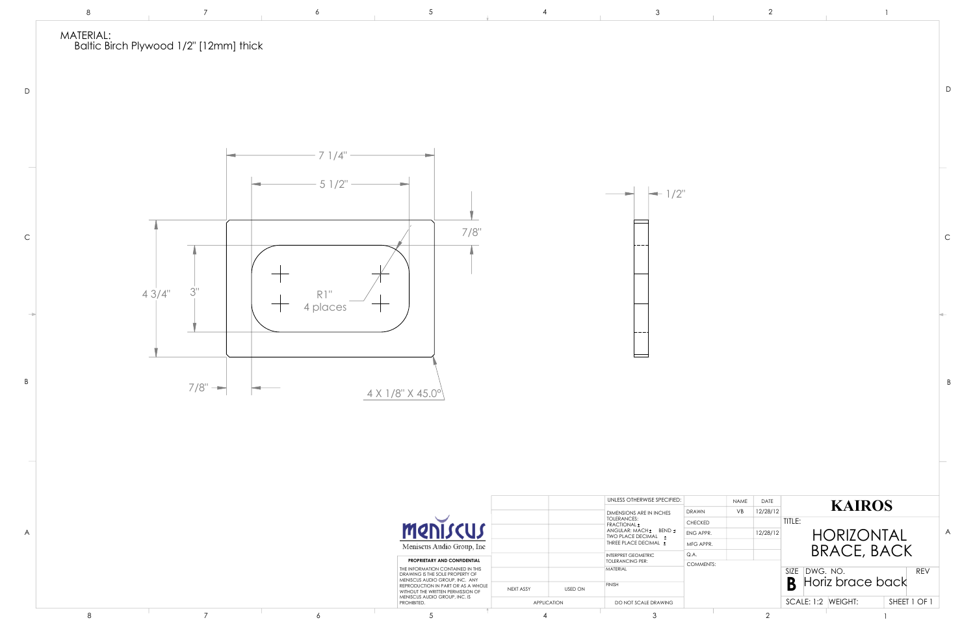![](_page_11_Figure_0.jpeg)

| ı                 |
|-------------------|
| I<br>I<br>٦<br>۰. |
|                   |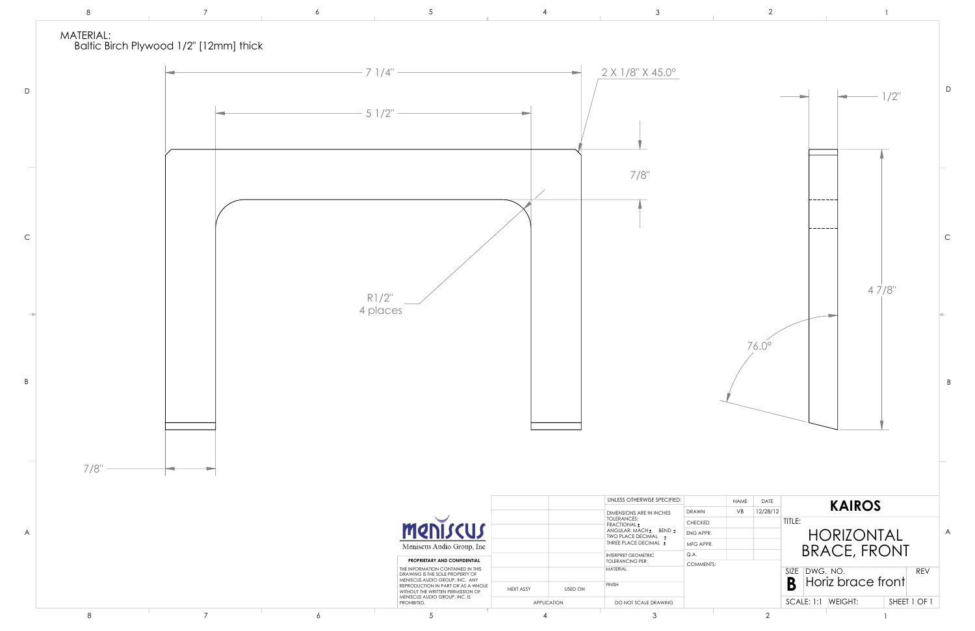![](_page_12_Figure_0.jpeg)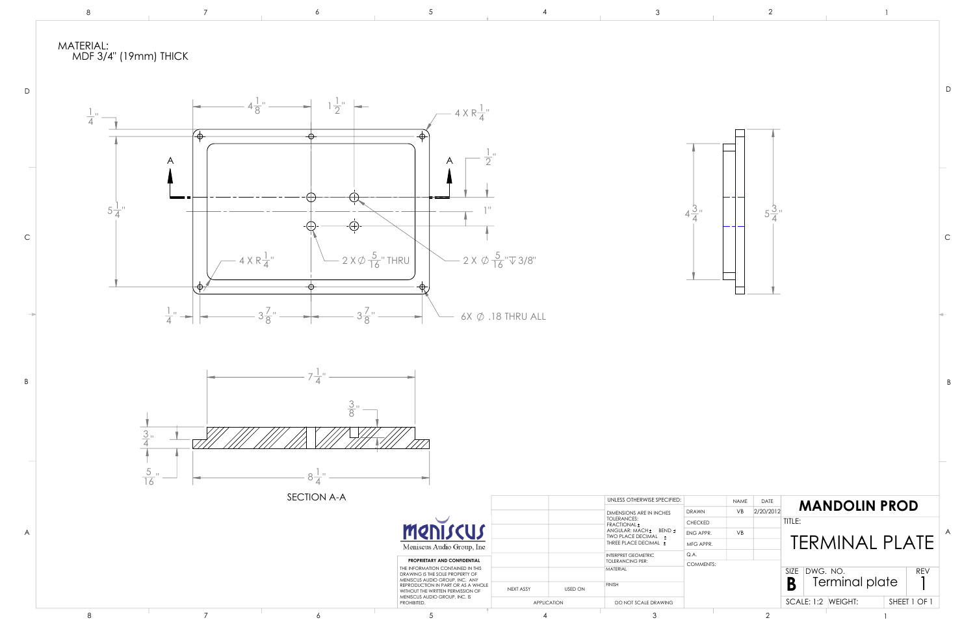![](_page_13_Figure_0.jpeg)